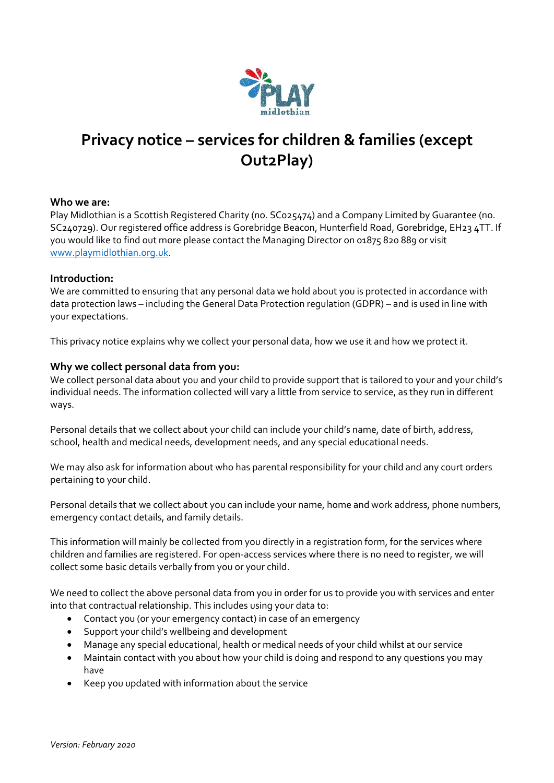

# **Privacy notice – services for children & families (except Out2Play)**

## **Who we are:**

Play Midlothian is a Scottish Registered Charity (no. SC025474) and a Company Limited by Guarantee (no. SC240729). Our registered office address is Gorebridge Beacon, Hunterfield Road, Gorebridge, EH23 4TT. If you would like to find out more please contact the Managing Director on 01875 820 889 or visit [www.playmidlothian.org.uk.](http://www.playmidlothian.org.uk/)

### **Introduction:**

We are committed to ensuring that any personal data we hold about you is protected in accordance with data protection laws – including the General Data Protection regulation (GDPR) – and is used in line with your expectations.

This privacy notice explains why we collect your personal data, how we use it and how we protect it.

### **Why we collect personal data from you:**

We collect personal data about you and your child to provide support that is tailored to your and your child's individual needs. The information collected will vary a little from service to service, as they run in different ways.

Personal details that we collect about your child can include your child's name, date of birth, address, school, health and medical needs, development needs, and any special educational needs.

We may also ask for information about who has parental responsibility for your child and any court orders pertaining to your child.

Personal details that we collect about you can include your name, home and work address, phone numbers, emergency contact details, and family details.

This information will mainly be collected from you directly in a registration form, for the services where children and families are registered. For open-access services where there is no need to register, we will collect some basic details verbally from you or your child.

We need to collect the above personal data from you in order for us to provide you with services and enter into that contractual relationship. This includes using your data to:

- Contact you (or your emergency contact) in case of an emergency
- Support your child's wellbeing and development
- Manage any special educational, health or medical needs of your child whilst at our service
- Maintain contact with you about how your child is doing and respond to any questions you may have
- Keep you updated with information about the service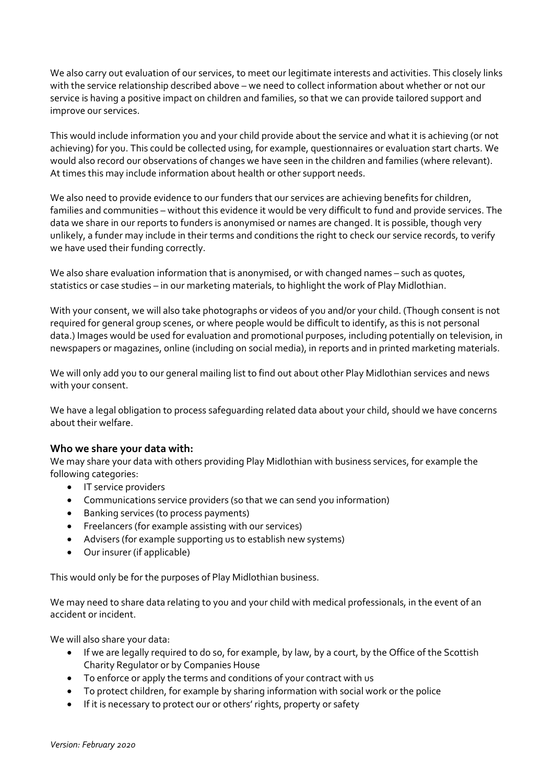We also carry out evaluation of our services, to meet our legitimate interests and activities. This closely links with the service relationship described above – we need to collect information about whether or not our service is having a positive impact on children and families, so that we can provide tailored support and improve our services.

This would include information you and your child provide about the service and what it is achieving (or not achieving) for you. This could be collected using, for example, questionnaires or evaluation start charts. We would also record our observations of changes we have seen in the children and families (where relevant). At times this may include information about health or other support needs.

We also need to provide evidence to our funders that our services are achieving benefits for children, families and communities – without this evidence it would be very difficult to fund and provide services. The data we share in our reports to funders is anonymised or names are changed. It is possible, though very unlikely, a funder may include in their terms and conditions the right to check our service records, to verify we have used their funding correctly.

We also share evaluation information that is anonymised, or with changed names – such as quotes, statistics or case studies – in our marketing materials, to highlight the work of Play Midlothian.

With your consent, we will also take photographs or videos of you and/or your child. (Though consent is not required for general group scenes, or where people would be difficult to identify, as this is not personal data.) Images would be used for evaluation and promotional purposes, including potentially on television, in newspapers or magazines, online (including on social media), in reports and in printed marketing materials.

We will only add you to our general mailing list to find out about other Play Midlothian services and news with your consent.

We have a legal obligation to process safeguarding related data about your child, should we have concerns about their welfare.

## **Who we share your data with:**

We may share your data with others providing Play Midlothian with business services, for example the following categories:

- IT service providers
- Communications service providers (so that we can send you information)
- Banking services (to process payments)
- Freelancers (for example assisting with our services)
- Advisers (for example supporting us to establish new systems)
- Our insurer (if applicable)

This would only be for the purposes of Play Midlothian business.

We may need to share data relating to you and your child with medical professionals, in the event of an accident or incident.

We will also share your data:

- If we are legally required to do so, for example, by law, by a court, by the Office of the Scottish Charity Regulator or by Companies House
- To enforce or apply the terms and conditions of your contract with us
- To protect children, for example by sharing information with social work or the police
- If it is necessary to protect our or others' rights, property or safety